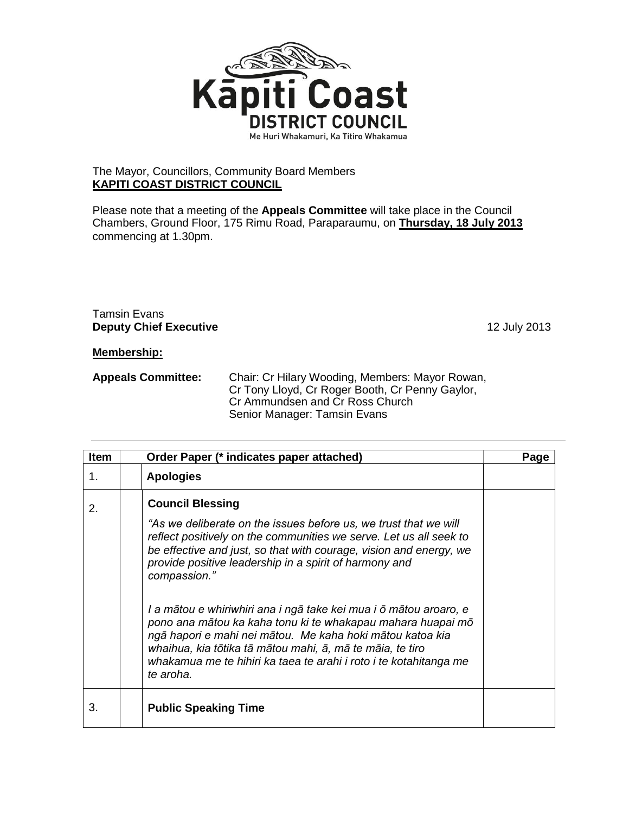

## The Mayor, Councillors, Community Board Members **KAPITI COAST DISTRICT COUNCIL**

Please note that a meeting of the **Appeals Committee** will take place in the Council Chambers, Ground Floor, 175 Rimu Road, Paraparaumu, on **Thursday, 18 July 2013** commencing at 1.30pm.

## Tamsin Evans **Deputy Chief Executive** 12 July 2013

## **Membership:**

| <b>Appeals Committee:</b> | Chair: Cr Hilary Wooding, Members: Mayor Rowan, |
|---------------------------|-------------------------------------------------|
|                           | Cr Tony Lloyd, Cr Roger Booth, Cr Penny Gaylor, |
|                           | Cr Ammundsen and Cr Ross Church                 |
|                           | Senior Manager: Tamsin Evans                    |

| <b>Item</b> | Order Paper (* indicates paper attached)                                                                                                                                                                                                                                                                                                                                                                                                                                                                                                                                                                                                                          | Page |
|-------------|-------------------------------------------------------------------------------------------------------------------------------------------------------------------------------------------------------------------------------------------------------------------------------------------------------------------------------------------------------------------------------------------------------------------------------------------------------------------------------------------------------------------------------------------------------------------------------------------------------------------------------------------------------------------|------|
| 1.          | <b>Apologies</b>                                                                                                                                                                                                                                                                                                                                                                                                                                                                                                                                                                                                                                                  |      |
| 2.          | <b>Council Blessing</b><br>"As we deliberate on the issues before us, we trust that we will<br>reflect positively on the communities we serve. Let us all seek to<br>be effective and just, so that with courage, vision and energy, we<br>provide positive leadership in a spirit of harmony and<br>compassion."<br>I a mātou e whiriwhiri ana i ngā take kei mua i ō mātou aroaro, e<br>pono ana mātou ka kaha tonu ki te whakapau mahara huapai mō<br>ngā hapori e mahi nei mātou. Me kaha hoki mātou katoa kia<br>whaihua, kia tōtika tā mātou mahi, ā, mā te māia, te tiro<br>whakamua me te hihiri ka taea te arahi i roto i te kotahitanga me<br>te aroha. |      |
| 3.          | <b>Public Speaking Time</b>                                                                                                                                                                                                                                                                                                                                                                                                                                                                                                                                                                                                                                       |      |